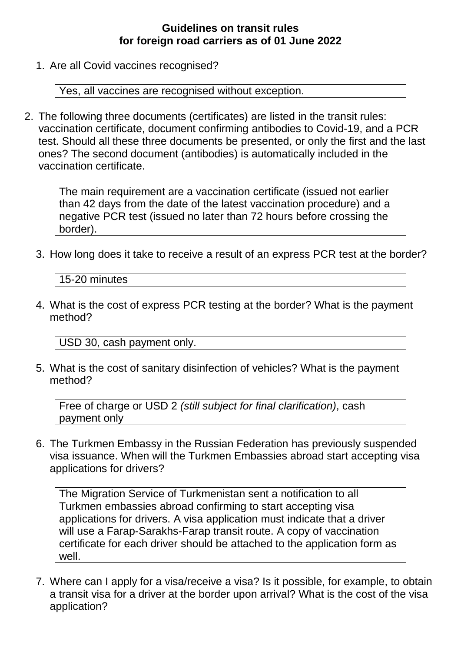## **Guidelines on transit rules for foreign road carriers as of 01 June 2022**

1. Are all Covid vaccines recognised?

Yes, all vaccines are recognised without exception.

2. The following three documents (certificates) are listed in the transit rules: vaccination certificate, document confirming antibodies to Covid-19, and a PCR test. Should all these three documents be presented, or only the first and the last ones? The second document (antibodies) is automatically included in the vaccination certificate.

The main requirement are a vaccination certificate (issued not earlier than 42 days from the date of the latest vaccination procedure) and a negative PCR test (issued no later than 72 hours before crossing the border).

3. How long does it take to receive a result of an express PCR test at the border?

15-20 minutes

4. What is the cost of express PCR testing at the border? What is the payment method?

USD 30, cash payment only.

5. What is the cost of sanitary disinfection of vehicles? What is the payment method?

Free of charge or USD 2 *(still subject for final clarification)*, cash payment only

6. The Turkmen Embassy in the Russian Federation has previously suspended visa issuance. When will the Turkmen Embassies abroad start accepting visa applications for drivers?

The Migration Service of Turkmenistan sent a notification to all Turkmen embassies abroad confirming to start accepting visa applications for drivers. A visa application must indicate that a driver will use a Farap-Sarakhs-Farap transit route. A copy of vaccination certificate for each driver should be attached to the application form as well.

7. Where can I apply for a visa/receive a visa? Is it possible, for example, to obtain a transit visa for a driver at the border upon arrival? What is the cost of the visa application?